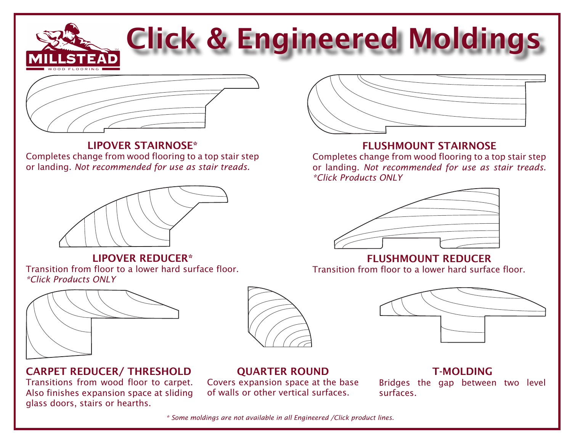# Click & Engineered Moldings



### lipover stairnose\*

Completes change from wood flooring to a top stair step or landing. *Not recommended for use as stair treads.*



lipover reducer\* Transition from floor to a lower hard surface floor. *\*Click Products ONLY*



## carpet reducer/ Threshold

Transitions from wood floor to carpet. Also finishes expansion space at sliding glass doors, stairs or hearths.



## **OUARTER ROUND**

Covers expansion space at the base of walls or other vertical surfaces.



## flushmount stairnose

Completes change from wood flooring to a top stair step or landing. *Not recommended for use as stair treads. \*Click Products ONLY*



FLUSHMOUNT REDUCER Transition from floor to a lower hard surface floor.



## **T-MOLDING**

Bridges the gap between two level surfaces.

*\* Some moldings are not available in all Engineered /Click product lines.*